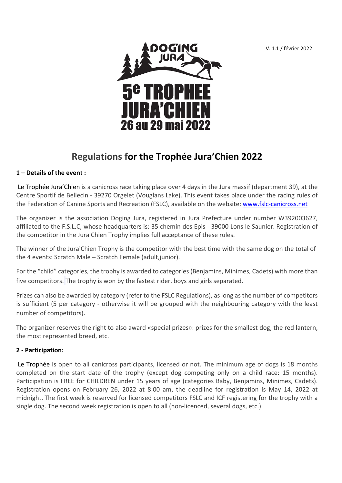V. 1.1 / février 2022



# **Regulations for the Trophée Jura'Chien 2022**

## **1 – Details of the event :**

Le Trophée Jura'Chien is a canicross race taking place over 4 days in the Jura massif (department 39), at the Centre Sportif de Bellecin - 39270 Orgelet (Vouglans Lake). This event takes place under the racing rules of the Federation of Canine Sports and Recreation (FSLC), available on the website: www.fslc-canicross.net

The organizer is the association Doging Jura, registered in Jura Prefecture under number W392003627, affiliated to the F.S.L.C, whose headquarters is: 35 chemin des Epis - 39000 Lons le Saunier. Registration of the competitor in the Jura'Chien Trophy implies full acceptance of these rules.

The winner of the Jura'Chien Trophy is the competitor with the best time with the same dog on the total of the 4 events: Scratch Male – Scratch Female (adult,junior).

For the "child" categories, the trophy is awarded to categories (Benjamins, Minimes, Cadets) with more than five competitors. The trophy is won by the fastest rider, boys and girls separated.

Prizes can also be awarded by category (refer to the FSLC Regulations), as long as the number of competitors is sufficient (5 per category - otherwise it will be grouped with the neighbouring category with the least number of competitors).

The organizer reserves the right to also award «special prizes»: prizes for the smallest dog, the red lantern, the most represented breed, etc.

## **2 - Participation:**

Le Trophée is open to all canicross participants, licensed or not. The minimum age of dogs is 18 months completed on the start date of the trophy (except dog competing only on a child race: 15 months). Participation is FREE for CHILDREN under 15 years of age (categories Baby, Benjamins, Minimes, Cadets). Registration opens on February 26, 2022 at 8:00 am, the deadline for registration is May 14, 2022 at midnight. The first week is reserved for licensed competitors FSLC and ICF registering for the trophy with a single dog. The second week registration is open to all (non-licenced, several dogs, etc.)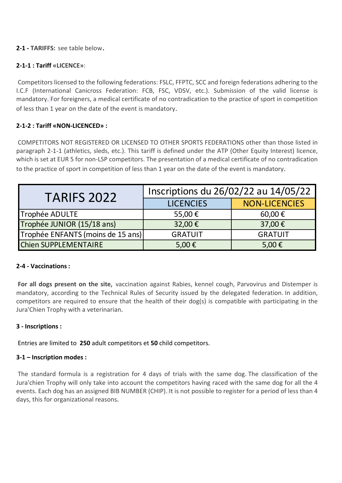## **2-1 - TARIFFS:** see table below.

## **2-1-1 : Tariff «LICENCE»**:

Competitors licensed to the following federations: FSLC, FFPTC, SCC and foreign federations adhering to the I.C.F (International Canicross Federation: FCB, FSC, VDSV, etc.). Submission of the valid license is mandatory. For foreigners, a medical certificate of no contradication to the practice of sport in competition of less than 1 year on the date of the event is mandatory.

## **2-1-2 : Tariff «NON-LICENCED» :**

COMPETITORS NOT REGISTERED OR LICENSED TO OTHER SPORTS FEDERATIONS other than those listed in paragraph 2-1-1 (athletics, sleds, etc.). This tariff is defined under the ATP (Other Equity Interest) licence, which is set at EUR 5 for non-LSP competitors. The presentation of a medical certificate of no contradication to the practice of sport in competition of less than 1 year on the date of the event is mandatory.

| <b>TARIFS 2022</b>                | Inscriptions du 26/02/22 au 14/05/22 |                      |
|-----------------------------------|--------------------------------------|----------------------|
|                                   | <b>LICENCIES</b>                     | <b>NON-LICENCIES</b> |
| Trophée ADULTE                    | 55,00€                               | 60,00€               |
| Trophée JUNIOR (15/18 ans)        | 32,00€                               | 37,00€               |
| Trophée ENFANTS (moins de 15 ans) | <b>GRATUIT</b>                       | <b>GRATUIT</b>       |
| <b>Chien SUPPLEMENTAIRE</b>       | 5,00 $\epsilon$                      | 5,00 $\epsilon$      |

## **2-4 - Vaccinations:**

**For all dogs present on the site**, vaccination against Rabies, kennel cough, Parvovirus and Distemper is mandatory, according to the Technical Rules of Security issued by the delegated federation. In addition, competitors are required to ensure that the health of their dog(s) is compatible with participating in the Jura'Chien Trophy with a veterinarian.

## **3 - Inscriptions :**

Entries are limited to **250** adult competitors et **50** child competitors.

## **3-1 – Inscription modes :**

The standard formula is a registration for 4 days of trials with the same dog. The classification of the Jura'chien Trophy will only take into account the competitors having raced with the same dog for all the 4 events. Each dog has an assigned BIB NUMBER (CHIP). It is not possible to register for a period of less than 4 days, this for organizational reasons.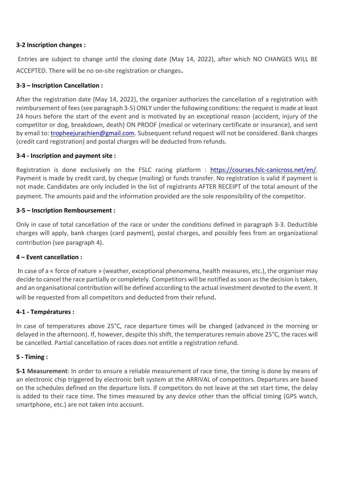## **3-2 Inscription changes :**

Entries are subject to change until the closing date (May 14, 2022), after which NO CHANGES WILL BE ACCEPTED. There will be no on-site registration or changes.

#### **3-3 – Inscription Cancellation :**

After the registration date (May 14, 2022), the organizer authorizes the cancellation of a registration with reimbursement of fees (see paragraph 3-5) ONLY under the following conditions: the request is made at least 24 hours before the start of the event and is motivated by an exceptional reason (accident, injury of the competitor or dog, breakdown, death) ON PROOF (medical or veterinary certificate or insurance), and sent by email to: tropheejurachien@gmail.com. Subsequent refund request will not be considered. Bank charges (credit card registration) and postal charges will be deducted from refunds.

#### **3-4 - Inscription and payment site :**

Registration is done exclusively on the FSLC racing platform : https://courses.fslc-canicross.net/en/. Payment is made by credit card, by cheque (mailing) or funds transfer. No registration is valid if payment is not made. Candidates are only included in the list of registrants AFTER RECEIPT of the total amount of the payment. The amounts paid and the information provided are the sole responsibility of the competitor.

#### **3-5 – Inscription Remboursement :**

Only in case of total cancellation of the race or under the conditions defined in paragraph 3-3. Deductible charges will apply, bank charges (card payment), postal charges, and possibly fees from an organizational contribution (see paragraph 4).

#### **4 – Event cancellation :**

In case of a « force of nature » (weather, exceptional phenomena, health measures, etc.), the organiser may decide to cancel the race partially or completely. Competitors will be notified as soon as the decision is taken, and an organisational contribution will be defined according to the actual investment devoted to the event. It will be requested from all competitors and deducted from their refund.

#### **4-1 - Températures :**

In case of temperatures above 25°C, race departure times will be changed (advanced in the morning or delayed in the afternoon). If, however, despite this shift, the temperatures remain above 25°C, the races will be cancelled. Partial cancellation of races does not entitle a registration refund.

#### **5 - Timing :**

**5-1 Measurement**: In order to ensure a reliable measurement of race time, the timing is done by means of an electronic chip triggered by electronic belt system at the ARRIVAL of competitors. Departures are based on the schedules defined on the departure lists. If competitors do not leave at the set start time, the delay is added to their race time. The times measured by any device other than the official timing (GPS watch, smartphone, etc.) are not taken into account.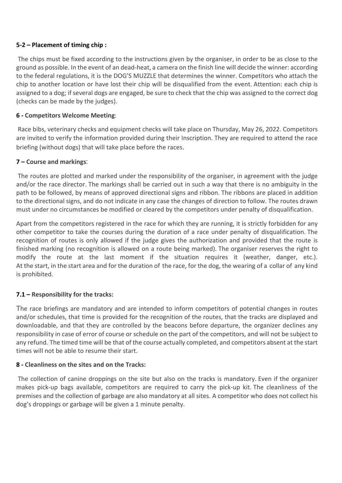## **5-2 – Placement of timing chip :**

The chips must be fixed according to the instructions given by the organiser, in order to be as close to the ground as possible. In the event of an dead-heat, a camera on the finish line will decide the winner: according to the federal regulations, it is the DOG'S MUZZLE that determines the winner. Competitors who attach the chip to another location or have lost their chip will be disqualified from the event. Attention: each chip is assigned to a dog; if several dogs are engaged, be sure to check that the chip was assigned to the correct dog (checks can be made by the judges).

## **6 - Competitors Welcome Meeting**:

Race bibs, veterinary checks and equipment checks will take place on Thursday, May 26, 2022. Competitors are invited to verify the information provided during their Inscription. They are required to attend the race briefing (without dogs) that will take place before the races.

## **7 – Course and markings**:

The routes are plotted and marked under the responsibility of the organiser, in agreement with the judge and/or the race director. The markings shall be carried out in such a way that there is no ambiguity in the path to be followed, by means of approved directional signs and ribbon. The ribbons are placed in addition to the directional signs, and do not indicate in any case the changes of direction to follow. The routes drawn must under no circumstances be modified or cleared by the competitors under penalty of disqualification.

Apart from the competitors registered in the race for which they are running, it is strictly forbidden for any other competitor to take the courses during the duration of a race under penalty of disqualification. The recognition of routes is only allowed if the judge gives the authorization and provided that the route is finished marking (no recognition is allowed on a route being marked). The organiser reserves the right to modify the route at the last moment if the situation requires it (weather, danger, etc.). At the start, in the start area and for the duration of the race, for the dog, the wearing of a collar of any kind is prohibited.

## **7.1 – Responsibility for the tracks:**

The race briefings are mandatory and are intended to inform competitors of potential changes in routes and/or schedules, that time is provided for the recognition of the routes, that the tracks are displayed and downloadable, and that they are controlled by the beacons before departure, the organizer declines any responsibility in case of error of course or schedule on the part of the competitors, and will not be subject to any refund. The timed time will be that of the course actually completed, and competitors absent at the start times will not be able to resume their start.

## **8 - Cleanliness on the sites and on the Tracks:**

The collection of canine droppings on the site but also on the tracks is mandatory. Even if the organizer makes pick-up bags available, competitors are required to carry the pick-up kit. The cleanliness of the premises and the collection of garbage are also mandatory at all sites. A competitor who does not collect his dog's droppings or garbage will be given a 1 minute penalty.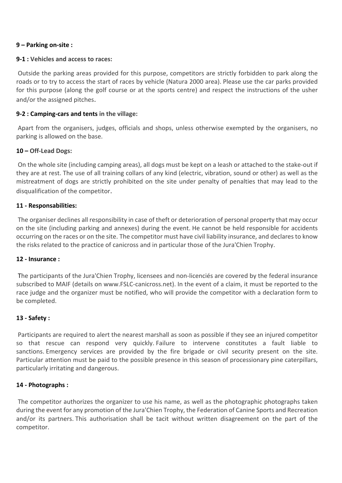#### **9 – Parking on-site :**

#### **9-1 : Vehicles and access to races:**

Outside the parking areas provided for this purpose, competitors are strictly forbidden to park along the roads or to try to access the start of races by vehicle (Natura 2000 area). Please use the car parks provided for this purpose (along the golf course or at the sports centre) and respect the instructions of the usher and/or the assigned pitches.

#### **9-2 : Camping-cars and tents in the village:**

Apart from the organisers, judges, officials and shops, unless otherwise exempted by the organisers, no parking is allowed on the base.

#### **10 – Off-Lead Dogs:**

On the whole site (including camping areas), all dogs must be kept on a leash or attached to the stake-out if they are at rest. The use of all training collars of any kind (electric, vibration, sound or other) as well as the mistreatment of dogs are strictly prohibited on the site under penalty of penalties that may lead to the disqualification of the competitor.

#### **11 - Responsabilities:**

The organiser declines all responsibility in case of theft or deterioration of personal property that may occur on the site (including parking and annexes) during the event. He cannot be held responsible for accidents occurring on the races or on the site. The competitor must have civil liability insurance, and declares to know the risks related to the practice of canicross and in particular those of the Jura'Chien Trophy.

#### **12 - Insurance :**

The participants of the Jura'Chien Trophy, licensees and non-licenciés are covered by the federal insurance subscribed to MAIF (details on www.FSLC-canicross.net). In the event of a claim, it must be reported to the race judge and the organizer must be notified, who will provide the competitor with a declaration form to be completed.

## **13 - Safety :**

Participants are required to alert the nearest marshall as soon as possible if they see an injured competitor so that rescue can respond very quickly. Failure to intervene constitutes a fault liable to sanctions. Emergency services are provided by the fire brigade or civil security present on the site. Particular attention must be paid to the possible presence in this season of processionary pine caterpillars, particularly irritating and dangerous.

#### **14 - Photographs :**

The competitor authorizes the organizer to use his name, as well as the photographic photographs taken during the event for any promotion of the Jura'Chien Trophy, the Federation of Canine Sports and Recreation and/or its partners. This authorisation shall be tacit without written disagreement on the part of the competitor.